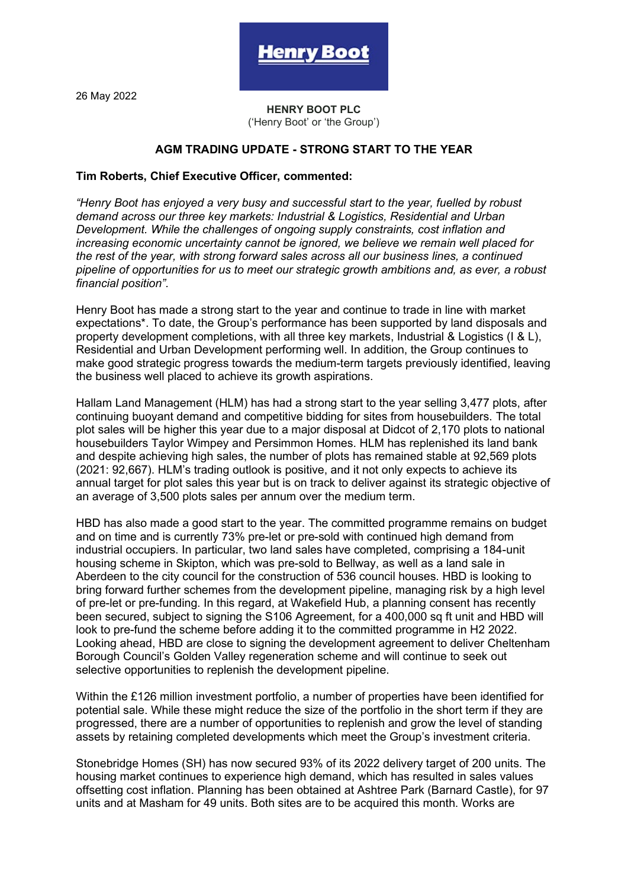26 May 2022

**HENRY BOOT PLC** ('Henry Boot' or 'the Group')

e**nrv Boo**t

## **AGM TRADING UPDATE - STRONG START TO THE YEAR**

## **Tim Roberts, Chief Executive Officer, commented:**

*"Henry Boot has enjoyed a very busy and successful start to the year, fuelled by robust demand across our three key markets: Industrial & Logistics, Residential and Urban Development. While the challenges of ongoing supply constraints, cost inflation and increasing economic uncertainty cannot be ignored, we believe we remain well placed for the rest of the year, with strong forward sales across all our business lines, a continued pipeline of opportunities for us to meet our strategic growth ambitions and, as ever, a robust financial position".*

Henry Boot has made a strong start to the year and continue to trade in line with market expectations\*. To date, the Group's performance has been supported by land disposals and property development completions, with all three key markets, Industrial & Logistics (I & L), Residential and Urban Development performing well. In addition, the Group continues to make good strategic progress towards the medium-term targets previously identified, leaving the business well placed to achieve its growth aspirations.

Hallam Land Management (HLM) has had a strong start to the year selling 3,477 plots, after continuing buoyant demand and competitive bidding for sites from housebuilders. The total plot sales will be higher this year due to a major disposal at Didcot of 2,170 plots to national housebuilders Taylor Wimpey and Persimmon Homes. HLM has replenished its land bank and despite achieving high sales, the number of plots has remained stable at 92,569 plots (2021: 92,667). HLM's trading outlook is positive, and it not only expects to achieve its annual target for plot sales this year but is on track to deliver against its strategic objective of an average of 3,500 plots sales per annum over the medium term.

HBD has also made a good start to the year. The committed programme remains on budget and on time and is currently 73% pre-let or pre-sold with continued high demand from industrial occupiers. In particular, two land sales have completed, comprising a 184-unit housing scheme in Skipton, which was pre-sold to Bellway, as well as a land sale in Aberdeen to the city council for the construction of 536 council houses. HBD is looking to bring forward further schemes from the development pipeline, managing risk by a high level of pre-let or pre-funding. In this regard, at Wakefield Hub, a planning consent has recently been secured, subject to signing the S106 Agreement, for a 400,000 sq ft unit and HBD will look to pre-fund the scheme before adding it to the committed programme in H2 2022. Looking ahead, HBD are close to signing the development agreement to deliver Cheltenham Borough Council's Golden Valley regeneration scheme and will continue to seek out selective opportunities to replenish the development pipeline.

Within the £126 million investment portfolio, a number of properties have been identified for potential sale. While these might reduce the size of the portfolio in the short term if they are progressed, there are a number of opportunities to replenish and grow the level of standing assets by retaining completed developments which meet the Group's investment criteria.

Stonebridge Homes (SH) has now secured 93% of its 2022 delivery target of 200 units. The housing market continues to experience high demand, which has resulted in sales values offsetting cost inflation. Planning has been obtained at Ashtree Park (Barnard Castle), for 97 units and at Masham for 49 units. Both sites are to be acquired this month. Works are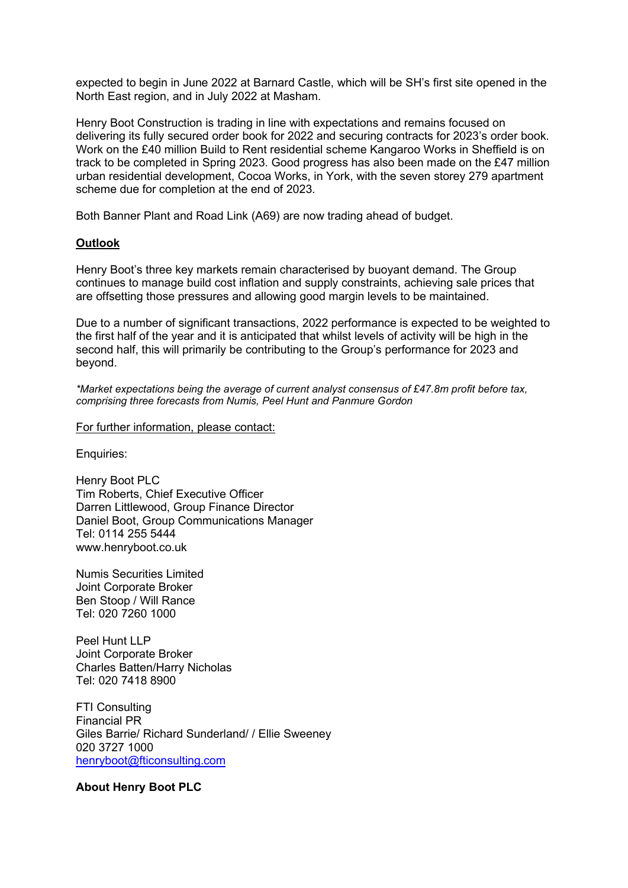expected to begin in June 2022 at Barnard Castle, which will be SH's first site opened in the North East region, and in July 2022 at Masham.

Henry Boot Construction is trading in line with expectations and remains focused on delivering its fully secured order book for 2022 and securing contracts for 2023's order book. Work on the £40 million Build to Rent residential scheme Kangaroo Works in Sheffield is on track to be completed in Spring 2023. Good progress has also been made on the £47 million urban residential development, Cocoa Works, in York, with the seven storey 279 apartment scheme due for completion at the end of 2023.

Both Banner Plant and Road Link (A69) are now trading ahead of budget.

## **Outlook**

Henry Boot's three key markets remain characterised by buoyant demand. The Group continues to manage build cost inflation and supply constraints, achieving sale prices that are offsetting those pressures and allowing good margin levels to be maintained.

Due to a number of significant transactions, 2022 performance is expected to be weighted to the first half of the year and it is anticipated that whilst levels of activity will be high in the second half, this will primarily be contributing to the Group's performance for 2023 and beyond.

*\*Market expectations being the average of current analyst consensus of £47.8m profit before tax, comprising three forecasts from Numis, Peel Hunt and Panmure Gordon*

## For further information, please contact:

Enquiries:

Henry Boot PLC Tim Roberts, Chief Executive Officer Darren Littlewood, Group Finance Director Daniel Boot, Group Communications Manager Tel: 0114 255 5444 www.henryboot.co.uk

Numis Securities Limited Joint Corporate Broker Ben Stoop / Will Rance Tel: 020 7260 1000

Peel Hunt LLP Joint Corporate Broker Charles Batten/Harry Nicholas Tel: 020 7418 8900

FTI Consulting Financial PR Giles Barrie/ Richard Sunderland/ / Ellie Sweeney 020 3727 1000 [henryboot@fticonsulting.com](mailto:henryboot@fticonsulting.com) 

**About Henry Boot PLC**